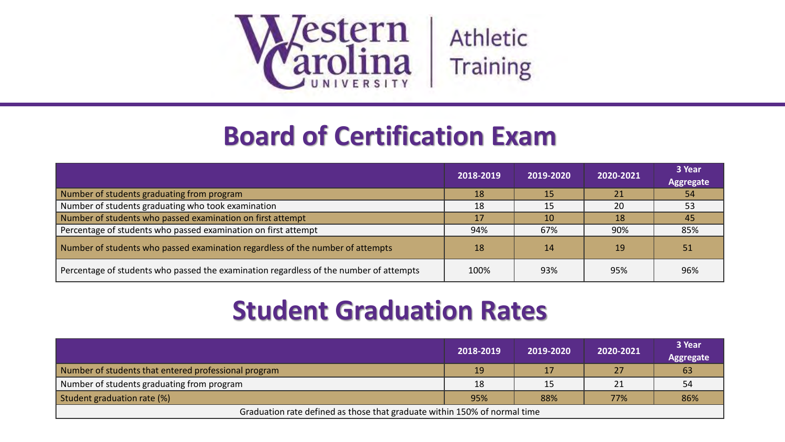

## **Board of Certification Exam**

|                                                                                        | 2018-2019 | 2019-2020 | 2020-2021 | 3 Year<br><b>Aggregate</b> |
|----------------------------------------------------------------------------------------|-----------|-----------|-----------|----------------------------|
| Number of students graduating from program                                             | 18        | 15        | 21        | 54                         |
| Number of students graduating who took examination                                     | 18        | 15        | 20        | 53                         |
| Number of students who passed examination on first attempt                             | 17        | 10        | 18        | 45                         |
| Percentage of students who passed examination on first attempt                         | 94%       | 67%       | 90%       | 85%                        |
| Number of students who passed examination regardless of the number of attempts         | 18        | 14        | 19        | 51                         |
| Percentage of students who passed the examination regardless of the number of attempts | 100%      | 93%       | 95%       | 96%                        |

## **Student Graduation Rates**

|                                                                           | 2018-2019 | 2019-2020 | 2020-2021 | 3 Year<br><b>Aggregate</b> |
|---------------------------------------------------------------------------|-----------|-----------|-----------|----------------------------|
| Number of students that entered professional program                      | 19        |           | 27        | 63                         |
| Number of students graduating from program                                | 18        | 15        | 21        | 54                         |
| Student graduation rate (%)                                               | 95%       | 88%       | 77%       | 86%                        |
| Graduation rate defined as those that graduate within 150% of normal time |           |           |           |                            |